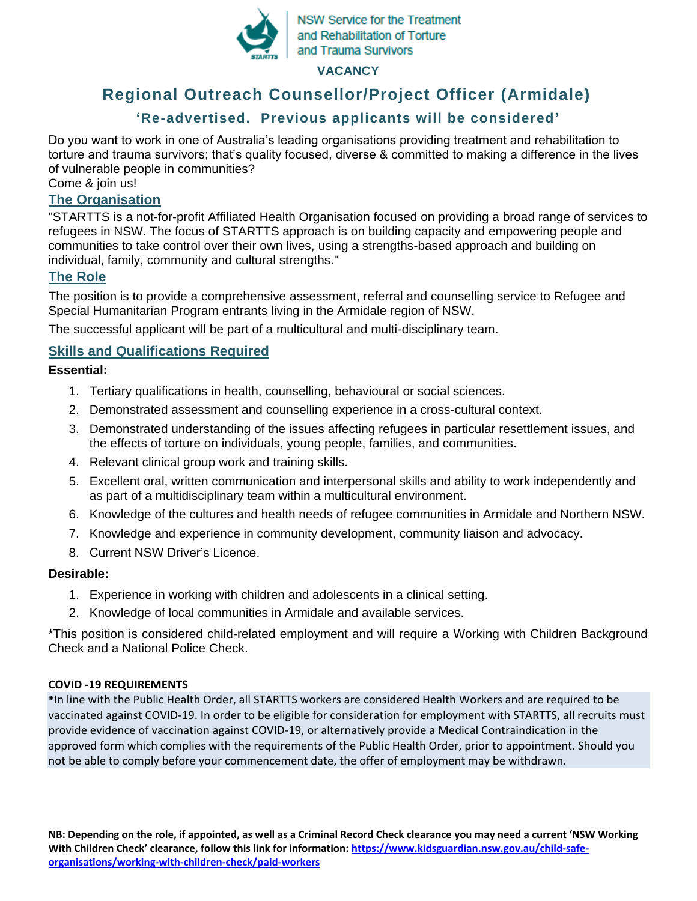

**NSW Service for the Treatment** and Rehabilitation of Torture and Trauma Survivors

**VACANCY**

# **Regional Outreach Counsellor/Project Officer (Armidale)**

# **'Re-advertised. Previous applicants will be considered'**

Do you want to work in one of Australia's leading organisations providing treatment and rehabilitation to torture and trauma survivors; that's quality focused, diverse & committed to making a difference in the lives of vulnerable people in communities?

Come & join us!

### **The Organisation**

"STARTTS is a not-for-profit Affiliated Health Organisation focused on providing a broad range of services to refugees in NSW. The focus of STARTTS approach is on building capacity and empowering people and communities to take control over their own lives, using a strengths-based approach and building on individual, family, community and cultural strengths."

# **The Role**

The position is to provide a comprehensive assessment, referral and counselling service to Refugee and Special Humanitarian Program entrants living in the Armidale region of NSW.

The successful applicant will be part of a multicultural and multi-disciplinary team.

# **Skills and Qualifications Required**

#### **Essential:**

- 1. Tertiary qualifications in health, counselling, behavioural or social sciences.
- 2. Demonstrated assessment and counselling experience in a cross-cultural context.
- 3. Demonstrated understanding of the issues affecting refugees in particular resettlement issues, and the effects of torture on individuals, young people, families, and communities.
- 4. Relevant clinical group work and training skills.
- 5. Excellent oral, written communication and interpersonal skills and ability to work independently and as part of a multidisciplinary team within a multicultural environment.
- 6. Knowledge of the cultures and health needs of refugee communities in Armidale and Northern NSW.
- 7. Knowledge and experience in community development, community liaison and advocacy.
- 8. Current NSW Driver's Licence.

### **Desirable:**

- 1. Experience in working with children and adolescents in a clinical setting.
- 2. Knowledge of local communities in Armidale and available services.

\*This position is considered child-related employment and will require a Working with Children Background Check and a National Police Check.

#### **COVID -19 REQUIREMENTS**

**\***In line with the Public Health Order, all STARTTS workers are considered Health Workers and are required to be vaccinated against COVID-19. In order to be eligible for consideration for employment with STARTTS, all recruits must provide evidence of vaccination against COVID-19, or alternatively provide a Medical Contraindication in the approved form which complies with the requirements of the Public Health Order, prior to appointment. Should you not be able to comply before your commencement date, the offer of employment may be withdrawn.